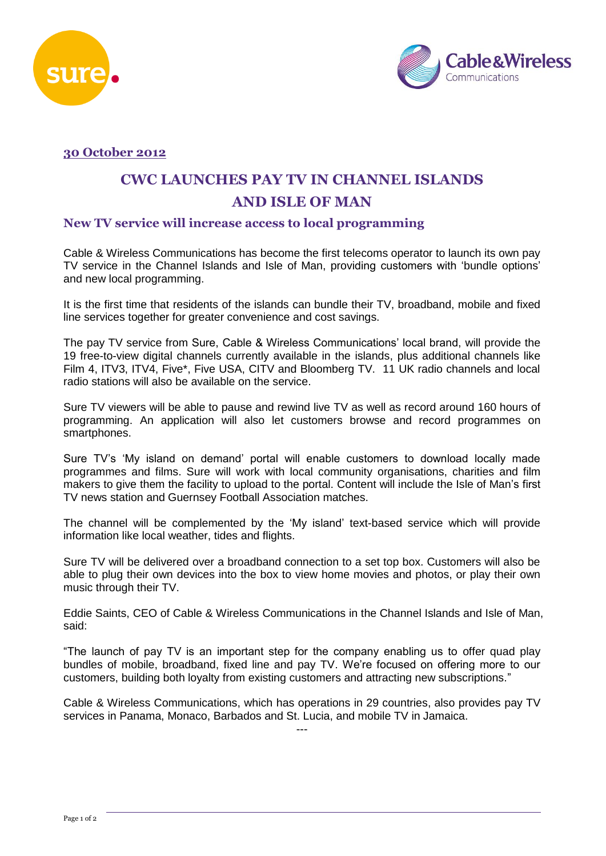



## **30 October 2012**

# **CWC LAUNCHES PAY TV IN CHANNEL ISLANDS AND ISLE OF MAN**

## **New TV service will increase access to local programming**

Cable & Wireless Communications has become the first telecoms operator to launch its own pay TV service in the Channel Islands and Isle of Man, providing customers with 'bundle options' and new local programming.

It is the first time that residents of the islands can bundle their TV, broadband, mobile and fixed line services together for greater convenience and cost savings.

The pay TV service from Sure, Cable & Wireless Communications' local brand, will provide the 19 free-to-view digital channels currently available in the islands, plus additional channels like Film 4, ITV3, ITV4, Five\*, Five USA, CITV and Bloomberg TV. 11 UK radio channels and local radio stations will also be available on the service.

Sure TV viewers will be able to pause and rewind live TV as well as record around 160 hours of programming. An application will also let customers browse and record programmes on smartphones.

Sure TV's 'My island on demand' portal will enable customers to download locally made programmes and films. Sure will work with local community organisations, charities and film makers to give them the facility to upload to the portal. Content will include the Isle of Man's first TV news station and Guernsey Football Association matches.

The channel will be complemented by the 'My island' text-based service which will provide information like local weather, tides and flights.

Sure TV will be delivered over a broadband connection to a set top box. Customers will also be able to plug their own devices into the box to view home movies and photos, or play their own music through their TV.

Eddie Saints, CEO of Cable & Wireless Communications in the Channel Islands and Isle of Man, said:

"The launch of pay TV is an important step for the company enabling us to offer quad play bundles of mobile, broadband, fixed line and pay TV. We're focused on offering more to our customers, building both loyalty from existing customers and attracting new subscriptions."

Cable & Wireless Communications, which has operations in 29 countries, also provides pay TV services in Panama, Monaco, Barbados and St. Lucia, and mobile TV in Jamaica. ---

Page 1 of 2